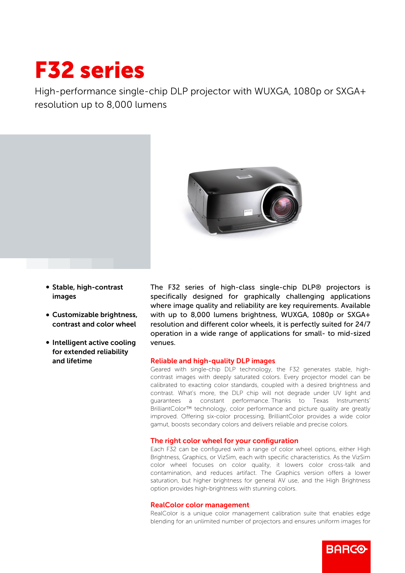# F32 series

High-performance single-chip DLP projector with WUXGA, 1080p or SXGA+ resolution up to 8,000 lumens



- Stable, high-contrast images
- Customizable brightness, contrast and color wheel
- Intelligent active cooling for extended reliability and lifetime

The F32 series of high-class single-chip DLP® projectors is specifically designed for graphically challenging applications where image quality and reliability are key requirements. Available with up to 8,000 lumens brightness, WUXGA, 1080p or SXGA+ resolution and different color wheels, it is perfectly suited for 24/7 operation in a wide range of applications for small- to mid-sized venues.

## Reliable and high-quality DLP images

Geared with single-chip DLP technology, the F32 generates stable, highcontrast images with deeply saturated colors. Every projector model can be calibrated to exacting color standards, coupled with a desired brightness and contrast. What's more, the DLP chip will not degrade under UV light and guarantees a constant performance. Thanks to Texas Instruments' BrilliantColor™ technology, color performance and picture quality are greatly improved. Offering six-color processing, BrilliantColor provides a wide color gamut, boosts secondary colors and delivers reliable and precise colors.

## The right color wheel for your configuration

Each F32 can be configured with a range of color wheel options, either High Brightness, Graphics, or VizSim, each with specific characteristics. As the VizSim color wheel focuses on color quality, it lowers color cross-talk and contamination, and reduces artifact. The Graphics version offers a lower saturation, but higher brightness for general AV use, and the High Brightness option provides high-brightness with stunning colors.

### RealColor color management

RealColor is a unique color management calibration suite that enables edge blending for an unlimited number of projectors and ensures uniform images for

**RARGO**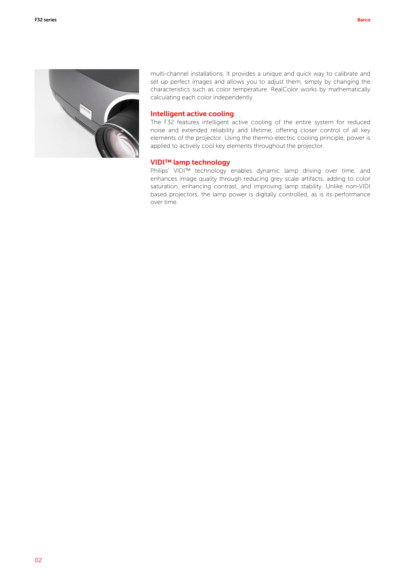

multi-channel installations. It provides a unique and quick way to calibrate and set up perfect images and allows you to adjust them, simply by changing the characteristics such as color temperature. RealColor works by mathematically calculating each color independently.

### Intelligent active cooling

The F32 features intelligent active cooling of the entire system for reduced noise and extended reliability and lifetime, offering closer control of all key elements of the projector. Using the thermo-electric cooling principle, power is applied to actively cool key elements throughout the projector.

## VIDI™ lamp technology

Philips' VIDI™ technology enables dynamic lamp driving over time, and enhances image quality through reducing grey scale artifacts, adding to color saturation, enhancing contrast, and improving lamp stability. Unlike non-VIDI based projectors, the lamp power is digitally controlled, as is its performance over time.